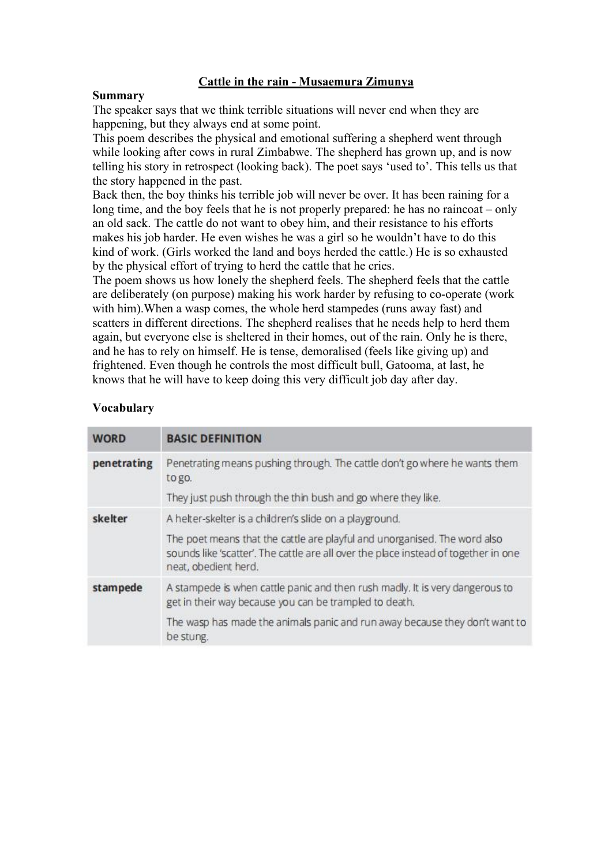## **Cattle in the rain -Musaemura Zimunya**

#### **Summary**

The speaker says that we think terrible situations will never end when they are happening, but they always end at some point.

This poem describes the physical and emotional suffering a shepherd went through while looking after cows in rural Zimbabwe. The shepherd has grown up, and is now telling his story in retrospect (looking back). The poet says 'used to'. This tells us that the story happened in the past.

Back then, the boy thinks his terrible job will never be over. It has been raining for a long time, and the boy feels that he is not properly prepared: he has no raincoat – only an old sack. The cattle do not want to obey him, and their resistance to his efforts makes his job harder. He even wishes he was a girl so he wouldn't have to do this kind of work. (Girls worked the land and boys herded the cattle.) He is so exhausted by the physical effort of trying to herd the cattle that he cries.

The poem shows us how lonely the shepherd feels. The shepherd feels that the cattle are deliberately (on purpose) making his work harder by refusing to co-operate (work with him).When a wasp comes, the whole herd stampedes (runs away fast) and scatters in different directions. The shepherd realises that he needs help to herd them again, but everyone else is sheltered in their homes, out of the rain. Only he is there, and he has to rely on himself.He is tense, demoralised (feels like giving up) and frightened. Even though he controls the most difficult bull, Gatooma, at last, he knows that he will have to keep doing this very difficult job day after day.

| <b>WORD</b> | <b>BASIC DEFINITION</b>                                                                                                                                                                                                                             |
|-------------|-----------------------------------------------------------------------------------------------------------------------------------------------------------------------------------------------------------------------------------------------------|
| penetrating | Penetrating means pushing through. The cattle don't go where he wants them<br>to go.<br>They just push through the thin bush and go where they like.                                                                                                |
| skelter     | A helter-skelter is a children's slide on a playground.<br>The poet means that the cattle are playful and unorganised. The word also<br>sounds like 'scatter'. The cattle are all over the place instead of together in one<br>neat, obedient herd. |
| stampede    | A stampede is when cattle panic and then rush madly. It is very dangerous to<br>get in their way because you can be trampled to death.<br>The wasp has made the animals panic and run away because they don't want to<br>be stung.                  |

### **Vocabulary**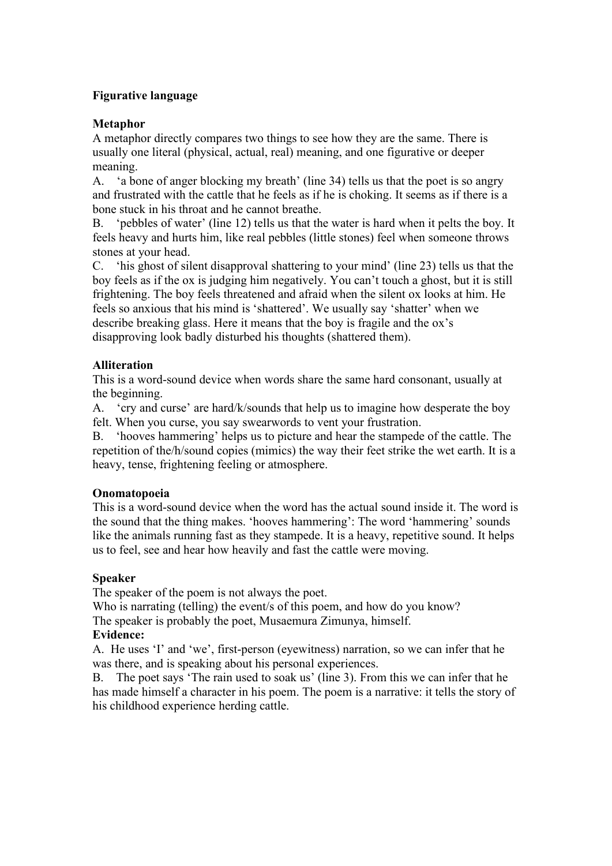## **Figurative language**

## **Metaphor**

A metaphor directly compares two things to see how they are the same. There is usually one literal (physical, actual, real) meaning, and one figurative or deeper meaning.

A. 'a bone of anger blocking my breath' (line 34) tells us that the poet is so angry and frustrated with the cattle that he feels as if he is choking. It seems as if there is a bone stuck in his throat and he cannot breathe.

B. 'pebbles of water' (line 12) tells us that the water is hard when it pelts the boy. It feels heavy and hurts him, like real pebbles (little stones) feel when someone throws stones at your head.

C. 'his ghost of silent disapproval shattering to your mind' (line 23) tells us that the boy feelsas if the ox is judging him negatively. You can't touch a ghost, but it is still frightening. The boy feels threatened and afraid when the silent ox looks at him. He feels so anxious that his mind is 'shattered'. We usually say 'shatter' when we describe breaking glass. Here it means that the boy is fragile and the ox's disapproving look badly disturbed his thoughts (shattered them).

## **Alliteration**

This is a word-sound device when words share the same hard consonant, usually at the beginning.

A. 'cry and curse' are hard/k/sounds that help us to imagine how desperate the boy felt. When you curse, you say swearwords to vent your frustration.

B. 'hooves hammering' helps us to picture and hear the stampede of the cattle. The repetition of the/h/sound copies (mimics) the way their feet strike the wet earth. It is a heavy, tense, frightening feeling or atmosphere.

### **Onomatopoeia**

This is a word-sound device when the word has the actual sound inside it. The word is the sound that the thing makes. 'hooves hammering': The word 'hammering' sounds like the animals running fast as they stampede. It is a heavy, repetitive sound. It helps us to feel, see and hear how heavily and fast the cattle were moving.

### **Speaker**

The speaker of the poem is not always the poet.

Who is narrating (telling) the event/s of this poem, and how do you know?

The speaker is probably the poet, Musaemura Zimunya, himself.

### **Evidence:**

A. He uses 'I' and 'we', first-person (eyewitness) narration, so we can infer that he was there, and is speaking about his personal experiences.

B. The poet says 'The rain used to soak us' (line 3). From this we can infer that he has made himself a character in his poem. The poem is a narrative: it tells the story of his childhood experience herding cattle.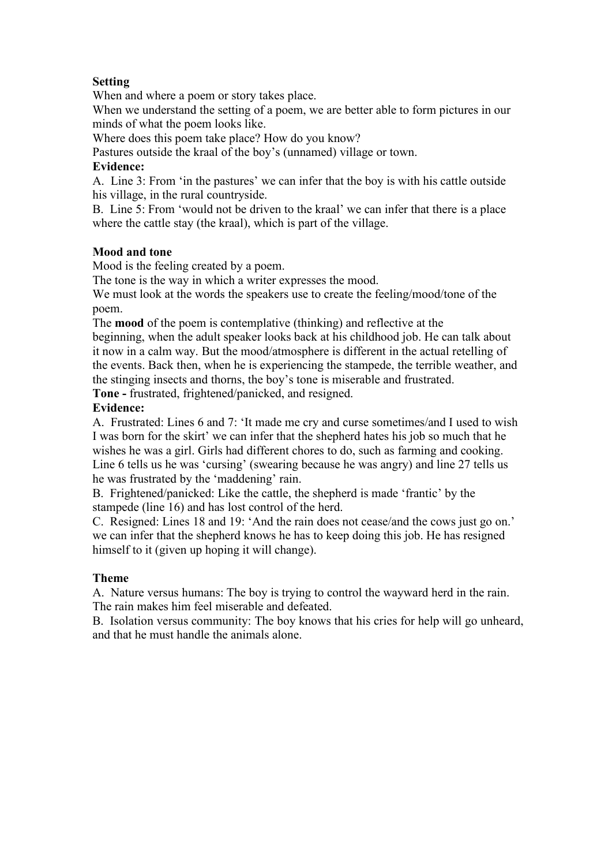# **Setting**

When and where a poem or story takes place.

When we understand the setting of a poem, we are better able to form pictures in our minds of what the poem looks like.

Where does this poem take place? How do you know?

Pastures outside the kraal of the boy's (unnamed) village or town.

## **Evidence:**

A. Line 3: From 'in the pastures' we can infer that the boy is with his cattle outside his village, in the rural countryside.

B. Line 5: From 'would not be driven to the kraal' we can infer that there is a place where the cattle stay (the kraal), which is part of the village.

# **Mood and tone**

Mood is the feeling created by a poem.

The tone is the way in which a writer expresses the mood.

We must look at the words the speakers use to create the feeling/mood/tone of the poem.

The **mood** of the poem is contemplative (thinking) and reflective at the

beginning, when the adult speaker looks back at his childhood job. He can talk about it now in a calm way. But the mood/atmosphere is different in the actual retelling of the events. Back then, when he is experiencing the stampede, the terrible weather, and the stinging insects and thorns, the boy's tone is miserable and frustrated.

**Tone -** frustrated, frightened/panicked, and resigned.

## **Evidence:**

A. Frustrated: Lines 6 and 7: 'It made me cry and curse sometimes/and I used to wish I was born for the skirt' we can infer that the shepherd hates his job so much that he wishes he was a girl. Girls had different chores to do, such as farming and cooking. Line 6 tells us he was 'cursing' (swearing because he was angry) and line 27 tells us he was frustrated by the 'maddening' rain.

B. Frightened/panicked: Like the cattle, the shepherd is made 'frantic' by the stampede (line 16) and has lost control of the herd.

C. Resigned: Lines 18 and 19: 'And the rain doesnot cease/and the cows just go on.' we can infer that the shepherd knows he has to keep doing this job. He has resigned himself to it (given up hoping it will change).

# **Theme**

A. Nature versus humans: The boy is trying to control the wayward herd in the rain. The rain makes him feel miserable and defeated.

B. Isolation versus community: The boy knows that his cries for help will go unheard, and that he must handle the animals alone.